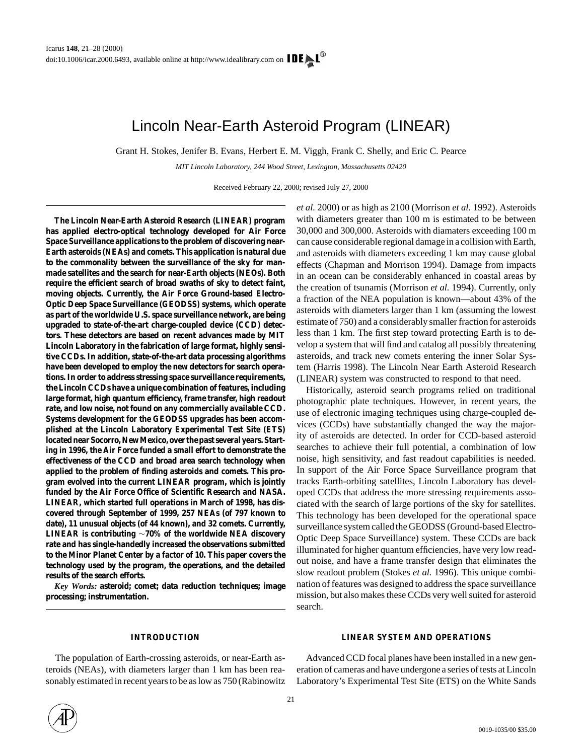# Lincoln Near-Earth Asteroid Program (LINEAR)

Grant H. Stokes, Jenifer B. Evans, Herbert E. M. Viggh, Frank C. Shelly, and Eric C. Pearce

*MIT Lincoln Laboratory, 244 Wood Street, Lexington, Massachusetts 02420*

Received February 22, 2000; revised July 27, 2000

**The Lincoln Near-Earth Asteroid Research (LINEAR) program has applied electro-optical technology developed for Air Force Space Surveillance applications to the problem of discovering near-Earth asteroids (NEAs) and comets. This application is natural due to the commonality between the surveillance of the sky for manmade satellites and the search for near-Earth objects (NEOs). Both require the efficient search of broad swaths of sky to detect faint, moving objects. Currently, the Air Force Ground-based Electro-Optic Deep Space Surveillance (GEODSS) systems, which operate as part of the worldwide U.S. space surveillance network, are being upgraded to state-of-the-art charge-coupled device (CCD) detectors. These detectors are based on recent advances made by MIT Lincoln Laboratory in the fabrication of large format, highly sensitive CCDs. In addition, state-of-the-art data processing algorithms have been developed to employ the new detectors for search operations. In order to address stressing space surveillance requirements, the Lincoln CCDs have a unique combination of features, including large format, high quantum efficiency, frame transfer, high readout rate, and low noise, not found on any commercially available CCD. Systems development for the GEODSS upgrades has been accomplished at the Lincoln Laboratory Experimental Test Site (ETS) located near Socorro, New Mexico, over the past several years. Starting in 1996, the Air Force funded a small effort to demonstrate the effectiveness of the CCD and broad area search technology when applied to the problem of finding asteroids and comets. This program evolved into the current LINEAR program, which is jointly funded by the Air Force Office of Scientific Research and NASA. LINEAR, which started full operations in March of 1998, has discovered through September of 1999, 257 NEAs (of 797 known to date), 11 unusual objects (of 44 known), and 32 comets. Currently, LINEAR is contributing** ∼**70% of the worldwide NEA discovery rate and has single-handedly increased the observations submitted to the Minor Planet Center by a factor of 10. This paper covers the technology used by the program, the operations, and the detailed results of the search efforts.**

*Key Words:* **asteroid; comet; data reduction techniques; image processing; instrumentation.**

*et al.* 2000) or as high as 2100 (Morrison *et al.* 1992). Asteroids with diameters greater than 100 m is estimated to be between 30,000 and 300,000. Asteroids with diamaters exceeding 100 m can cause considerable regional damage in a collision with Earth, and asteroids with diameters exceeding 1 km may cause global effects (Chapman and Morrison 1994). Damage from impacts in an ocean can be considerably enhanced in coastal areas by the creation of tsunamis (Morrison *et al.* 1994). Currently, only a fraction of the NEA population is known—about 43% of the asteroids with diameters larger than 1 km (assuming the lowest estimate of 750) and a considerably smaller fraction for asteroids less than 1 km. The first step toward protecting Earth is to develop a system that will find and catalog all possibly threatening asteroids, and track new comets entering the inner Solar System (Harris 1998). The Lincoln Near Earth Asteroid Research (LINEAR) system was constructed to respond to that need.

Historically, asteroid search programs relied on traditional photographic plate techniques. However, in recent years, the use of electronic imaging techniques using charge-coupled devices (CCDs) have substantially changed the way the majority of asteroids are detected. In order for CCD-based asteroid searches to achieve their full potential, a combination of low noise, high sensitivity, and fast readout capabilities is needed. In support of the Air Force Space Surveillance program that tracks Earth-orbiting satellites, Lincoln Laboratory has developed CCDs that address the more stressing requirements associated with the search of large portions of the sky for satellites. This technology has been developed for the operational space surveillance system called the GEODSS (Ground-based Electro-Optic Deep Space Surveillance) system. These CCDs are back illuminated for higher quantum efficiencies, have very low readout noise, and have a frame transfer design that eliminates the slow readout problem (Stokes *et al.* 1996). This unique combination of features was designed to address the space surveillance mission, but also makes these CCDs very well suited for asteroid search.

# **INTRODUCTION**

The population of Earth-crossing asteroids, or near-Earth asteroids (NEAs), with diameters larger than 1 km has been reasonably estimated in recent years to be as low as 750 (Rabinowitz

# **LINEAR SYSTEM AND OPERATIONS**

Advanced CCD focal planes have been installed in a new generation of cameras and have undergone a series of tests at Lincoln Laboratory's Experimental Test Site (ETS) on the White Sands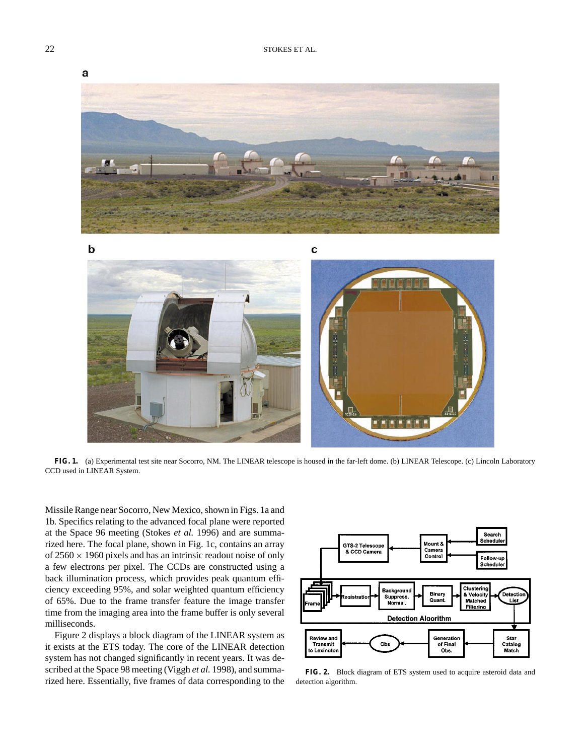

**FIG. 1.** (a) Experimental test site near Socorro, NM. The LINEAR telescope is housed in the far-left dome. (b) LINEAR Telescope. (c) Lincoln Laboratory CCD used in LINEAR System.

Missile Range near Socorro, New Mexico, shown in Figs. 1a and 1b. Specifics relating to the advanced focal plane were reported at the Space 96 meeting (Stokes *et al.* 1996) and are summarized here. The focal plane, shown in Fig. 1c, contains an array of  $2560 \times 1960$  pixels and has an intrinsic readout noise of only a few electrons per pixel. The CCDs are constructed using a back illumination process, which provides peak quantum efficiency exceeding 95%, and solar weighted quantum efficiency of 65%. Due to the frame transfer feature the image transfer time from the imaging area into the frame buffer is only several milliseconds.

Figure 2 displays a block diagram of the LINEAR system as it exists at the ETS today. The core of the LINEAR detection system has not changed significantly in recent years. It was described at the Space 98 meeting (Viggh *et al.* 1998), and summarized here. Essentially, five frames of data corresponding to the



**FIG. 2.** Block diagram of ETS system used to acquire asteroid data and detection algorithm.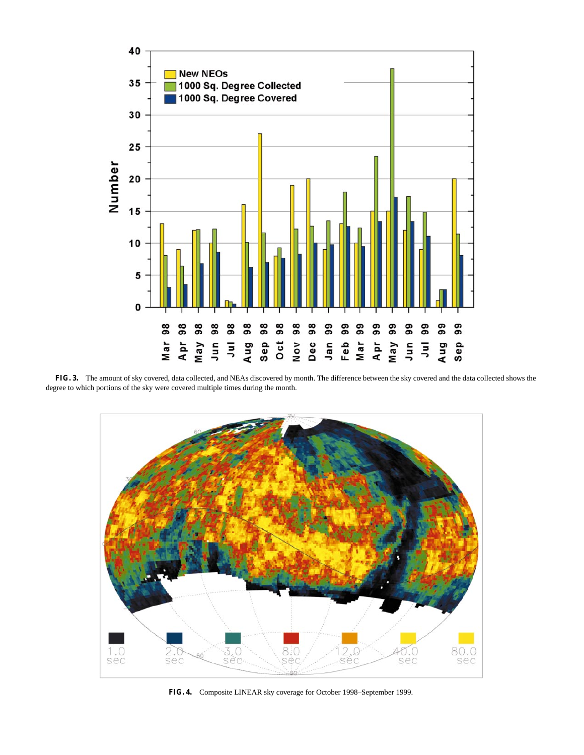

**FIG. 3.** The amount of sky covered, data collected, and NEAs discovered by month. The difference between the sky covered and the data collected shows the degree to which portions of the sky were covered multiple times during the month.



**FIG. 4.** Composite LINEAR sky coverage for October 1998–September 1999.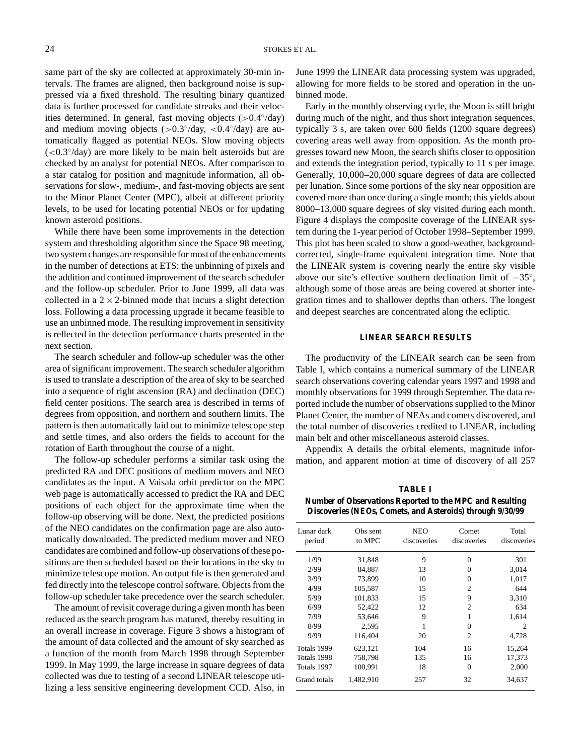same part of the sky are collected at approximately 30-min intervals. The frames are aligned, then background noise is suppressed via a fixed threshold. The resulting binary quantized data is further processed for candidate streaks and their velocities determined. In general, fast moving objects  $(>0.4°/day)$ and medium moving objects (> $0.3°/day$ , < $0.4°/day$ ) are automatically flagged as potential NEOs. Slow moving objects  $\left($  <0.3°/day) are more likely to be main belt asteroids but are checked by an analyst for potential NEOs. After comparison to a star catalog for position and magnitude information, all observations for slow-, medium-, and fast-moving objects are sent to the Minor Planet Center (MPC), albeit at different priority levels, to be used for locating potential NEOs or for updating known asteroid positions.

While there have been some improvements in the detection system and thresholding algorithm since the Space 98 meeting, two system changes are responsible for most of the enhancements in the number of detections at ETS: the unbinning of pixels and the addition and continued improvement of the search scheduler and the follow-up scheduler. Prior to June 1999, all data was collected in a  $2 \times 2$ -binned mode that incurs a slight detection loss. Following a data processing upgrade it became feasible to use an unbinned mode. The resulting improvement in sensitivity is reflected in the detection performance charts presented in the next section.

The search scheduler and follow-up scheduler was the other area of significant improvement. The search scheduler algorithm is used to translate a description of the area of sky to be searched into a sequence of right ascension (RA) and declination (DEC) field center positions. The search area is described in terms of degrees from opposition, and northern and southern limits. The pattern is then automatically laid out to minimize telescope step and settle times, and also orders the fields to account for the rotation of Earth throughout the course of a night.

The follow-up scheduler performs a similar task using the predicted RA and DEC positions of medium movers and NEO candidates as the input. A Vaisala orbit predictor on the MPC web page is automatically accessed to predict the RA and DEC positions of each object for the approximate time when the follow-up observing will be done. Next, the predicted positions of the NEO candidates on the confirmation page are also automatically downloaded. The predicted medium mover and NEO candidates are combined and follow-up observations of these positions are then scheduled based on their locations in the sky to minimize telescope motion. An output file is then generated and fed directly into the telescope control software. Objects from the follow-up scheduler take precedence over the search scheduler.

The amount of revisit coverage during a given month has been reduced as the search program has matured, thereby resulting in an overall increase in coverage. Figure 3 shows a histogram of the amount of data collected and the amount of sky searched as a function of the month from March 1998 through September 1999. In May 1999, the large increase in square degrees of data collected was due to testing of a second LINEAR telescope utilizing a less sensitive engineering development CCD. Also, in

June 1999 the LINEAR data processing system was upgraded, allowing for more fields to be stored and operation in the unbinned mode.

Early in the monthly observing cycle, the Moon is still bright during much of the night, and thus short integration sequences, typically 3 s, are taken over 600 fields (1200 square degrees) covering areas well away from opposition. As the month progresses toward new Moon, the search shifts closer to opposition and extends the integration period, typically to 11 s per image. Generally, 10,000–20,000 square degrees of data are collected per lunation. Since some portions of the sky near opposition are covered more than once during a single month; this yields about 8000–13,000 square degrees of sky visited during each month. Figure 4 displays the composite coverage of the LINEAR system during the 1-year period of October 1998–September 1999. This plot has been scaled to show a good-weather, backgroundcorrected, single-frame equivalent integration time. Note that the LINEAR system is covering nearly the entire sky visible above our site's effective southern declination limit of  $-35^\circ$ , although some of those areas are being covered at shorter integration times and to shallower depths than others. The longest and deepest searches are concentrated along the ecliptic.

#### **LINEAR SEARCH RESULTS**

The productivity of the LINEAR search can be seen from Table I, which contains a numerical summary of the LINEAR search observations covering calendar years 1997 and 1998 and monthly observations for 1999 through September. The data reported include the number of observations supplied to the Minor Planet Center, the number of NEAs and comets discovered, and the total number of discoveries credited to LINEAR, including main belt and other miscellaneous asteroid classes.

Appendix A details the orbital elements, magnitude information, and apparent motion at time of discovery of all 257

**TABLE I Number of Observations Reported to the MPC and Resulting Discoveries (NEOs, Comets, and Asteroids) through 9/30/99**

| Lunar dark<br>period | Obs sent<br>to MPC | <b>NEO</b><br>discoveries | Comet<br>discoveries | Total<br>discoveries |
|----------------------|--------------------|---------------------------|----------------------|----------------------|
| 1/99                 | 31,848             | 9                         | 0                    | 301                  |
| 2/99                 | 84.887             | 13                        | $\Omega$             | 3,014                |
| 3/99                 | 73.899             | 10                        | $\Omega$             | 1,017                |
| 4/99                 | 105,587            | 15                        | $\overline{c}$       | 644                  |
| 5/99                 | 101,833            | 15                        | 9                    | 3,310                |
| 6/99                 | 52,422             | 12                        | $\overline{c}$       | 634                  |
| 7/99                 | 53.646             | 9                         | 1                    | 1,614                |
| 8/99                 | 2.595              | 1                         | $\Omega$             | 2                    |
| 9/99                 | 116.404            | 20                        | $\overline{c}$       | 4,728                |
| Totals 1999          | 623,121            | 104                       | 16                   | 15,264               |
| Totals 1998          | 758.798            | 135                       | 16                   | 17,373               |
| Totals 1997          | 100.991            | 18                        | $\Omega$             | 2,000                |
| Grand totals         | 1,482,910          | 257                       | 32                   | 34,637               |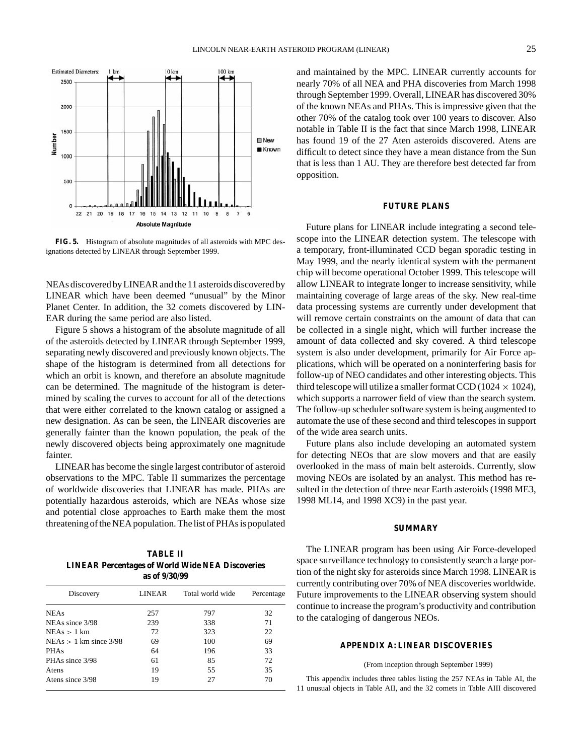

**FIG. 5.** Histogram of absolute magnitudes of all asteroids with MPC designations detected by LINEAR through September 1999.

NEAs discovered by LINEAR and the 11 asteroids discovered by LINEAR which have been deemed "unusual" by the Minor Planet Center. In addition, the 32 comets discovered by LIN-EAR during the same period are also listed.

Figure 5 shows a histogram of the absolute magnitude of all of the asteroids detected by LINEAR through September 1999, separating newly discovered and previously known objects. The shape of the histogram is determined from all detections for which an orbit is known, and therefore an absolute magnitude can be determined. The magnitude of the histogram is determined by scaling the curves to account for all of the detections that were either correlated to the known catalog or assigned a new designation. As can be seen, the LINEAR discoveries are generally fainter than the known population, the peak of the newly discovered objects being approximately one magnitude fainter.

LINEAR has become the single largest contributor of asteroid observations to the MPC. Table II summarizes the percentage of worldwide discoveries that LINEAR has made. PHAs are potentially hazardous asteroids, which are NEAs whose size and potential close approaches to Earth make them the most threatening of the NEA population. The list of PHAs is populated

**TABLE II LINEAR Percentages of World Wide NEA Discoveries as of 9/30/99**

| Discovery                | <b>LINEAR</b> | Total world wide | Percentage |
|--------------------------|---------------|------------------|------------|
| NEAs                     | 257           | 797              | 32         |
| NEAs since 3/98          | 239           | 338              | 71         |
| $NEAs > 1$ km            | 72            | 323              | 22         |
| $NEAs > 1$ km since 3/98 | 69            | 100              | 69         |
| <b>PHAs</b>              | 64            | 196              | 33         |
| PHAs since 3/98          | 61            | 85               | 72         |
| Atens                    | 19            | 55               | 35         |
| Atens since 3/98         | 19            | 27               | 70         |

and maintained by the MPC. LINEAR currently accounts for nearly 70% of all NEA and PHA discoveries from March 1998 through September 1999. Overall, LINEAR has discovered 30% of the known NEAs and PHAs. This is impressive given that the other 70% of the catalog took over 100 years to discover. Also notable in Table II is the fact that since March 1998, LINEAR has found 19 of the 27 Aten asteroids discovered. Atens are difficult to detect since they have a mean distance from the Sun that is less than 1 AU. They are therefore best detected far from opposition.

## **FUTURE PLANS**

Future plans for LINEAR include integrating a second telescope into the LINEAR detection system. The telescope with a temporary, front-illuminated CCD began sporadic testing in May 1999, and the nearly identical system with the permanent chip will become operational October 1999. This telescope will allow LINEAR to integrate longer to increase sensitivity, while maintaining coverage of large areas of the sky. New real-time data processing systems are currently under development that will remove certain constraints on the amount of data that can be collected in a single night, which will further increase the amount of data collected and sky covered. A third telescope system is also under development, primarily for Air Force applications, which will be operated on a noninterfering basis for follow-up of NEO candidates and other interesting objects. This third telescope will utilize a smaller format CCD (1024  $\times$  1024), which supports a narrower field of view than the search system. The follow-up scheduler software system is being augmented to automate the use of these second and third telescopes in support of the wide area search units.

Future plans also include developing an automated system for detecting NEOs that are slow movers and that are easily overlooked in the mass of main belt asteroids. Currently, slow moving NEOs are isolated by an analyst. This method has resulted in the detection of three near Earth asteroids (1998 ME3, 1998 ML14, and 1998 XC9) in the past year.

#### **SUMMARY**

The LINEAR program has been using Air Force-developed space surveillance technology to consistently search a large portion of the night sky for asteroids since March 1998. LINEAR is currently contributing over 70% of NEA discoveries worldwide. Future improvements to the LINEAR observing system should continue to increase the program's productivity and contribution to the cataloging of dangerous NEOs.

## **APPENDIX A: LINEAR DISCOVERIES**

(From inception through September 1999)

This appendix includes three tables listing the 257 NEAs in Table AI, the 11 unusual objects in Table AII, and the 32 comets in Table AIII discovered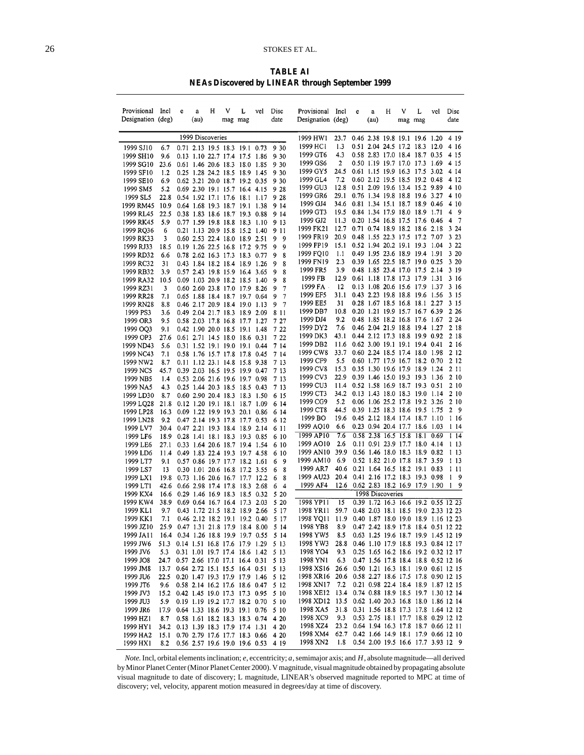**TABLE AI NEAs Discovered by LINEAR through September 1999**

| Provisional<br>Designation (deg) | Incl                               | e                                       | a<br>(au)                | H | v<br>mag mag | L                                                              | vel                                | Disc<br>date |                | Provisional<br>Designation (deg) | Incl         | e | a<br>(au)                | Н | v<br>mag mag | L                                                              | vel  | Disc<br>date                                                               |
|----------------------------------|------------------------------------|-----------------------------------------|--------------------------|---|--------------|----------------------------------------------------------------|------------------------------------|--------------|----------------|----------------------------------|--------------|---|--------------------------|---|--------------|----------------------------------------------------------------|------|----------------------------------------------------------------------------|
|                                  |                                    |                                         | 1999 Discoveries         |   |              |                                                                |                                    |              |                | 1999 HW1                         | 23.7         |   |                          |   |              | 0.46 2.38 19.8 19.1 19.6 1.20                                  |      | 4 19                                                                       |
| 1999 SJ10                        | 6.7                                |                                         |                          |   |              | 0.71 2.13 19.5 18.3 19.1 0.73                                  |                                    |              | 9 30           | 1999 HC1                         | 1.3          |   |                          |   |              | 0.51 2.04 24.5 17.2 18.3 12.0                                  |      | 4 16                                                                       |
| 1999 SH10                        | 9.6                                |                                         |                          |   |              | 0.13 1.10 22.7 17.4 17.5 1.86                                  |                                    |              | 930            | 1999 GT6                         | 4.3          |   |                          |   |              | 0.58 2.83 17.0 18.4 18.7 0.35                                  |      | 4 15                                                                       |
| 1999 SG10                        | 23.6                               |                                         |                          |   |              | 0.61 1.46 20.6 18.3 18.0 1.85                                  |                                    |              | 9 30           | 1999 GS6                         | 2            |   |                          |   |              | 0.50 1.19 19.7 17.0 17.3 1.69                                  |      | 415                                                                        |
| 1999 SF10                        | 1.2                                |                                         |                          |   |              | 0.25 1.28 24.2 18.5 18.9 1.45                                  |                                    |              | 9 30           | 1999 GY5                         | 24.5         |   |                          |   |              | 0.61 1.15 19.9 16.3 17.5 3.02                                  |      | 4 14                                                                       |
| 1999 SE10                        | 6.9                                |                                         |                          |   |              | 0.62 3.21 20.0 18.7 19.2 0.35                                  |                                    |              | 9 30           | 1999 GL4                         | 7.2          |   |                          |   |              | 0.60 2.12 19.5 18.5 19.2 0.48                                  |      | 4 12                                                                       |
| 1999 SM5                         | 5.2                                |                                         |                          |   |              | 0.69 2.30 19.1 15.7 16.4 4.15                                  |                                    |              | 9 28           | 1999 GU3                         | 12.8<br>29.1 |   |                          |   |              | 0.51 2.09 19.6 13.4 15.2 9.89                                  |      | 4 10<br>4 10                                                               |
| 1999 SL5                         | 22.8                               |                                         |                          |   |              | 0.54 1.92 17.1 17.6 18.1 1.17                                  |                                    |              | 9 28           | 1999 GR6<br>1999 GJ4             | 34.6         |   |                          |   |              | 0.76 1.34 19.8 18.8 19.6 3.27<br>0.81 1.34 15.1 18.7 18.9 0.46 |      | 4 10                                                                       |
| 1999 RM45                        | 10.9                               |                                         | 0.64 1.68 19.3 18.7 19.1 |   |              |                                                                | 1.38                               |              | 9 14           | 1999 GT3                         | 19.5         |   |                          |   |              | 0.84 1.34 17.9 18.0 18.9 1.71                                  |      | 4<br>- 9                                                                   |
| 1999 RL45<br>1999 RK45           | 22.5<br>5.9                        |                                         |                          |   |              | 0.38 1.83 18.6 18.7 19.3 0.88<br>0.77 1.59 19.8 18.8 18.3 1.10 |                                    |              | 9 14<br>913    | 1999 GJ2                         | 11.3         |   |                          |   |              | 0.20 1.54 16.8 17.5 17.6 0.46                                  |      | $\overline{7}$<br>4                                                        |
| 1999 RO36                        | 6                                  |                                         |                          |   |              | 0.21 1.13 20.9 15.8 15.2 1.40                                  |                                    |              | 9 1 1          | 1999 FK21                        | 12.7         |   |                          |   |              | 0.71 0.74 18.9 18.2 18.6 2.18                                  |      | 3 24                                                                       |
| 1999 RK33                        | 3                                  |                                         |                          |   |              | 0.60 2.53 22.4 18.0 18.9 2.51                                  |                                    | 9            | 9              | 1999 FR19                        | 20.9         |   |                          |   |              | 0.48 1.55 22.3 17.5 17.2 7.07                                  |      | 3 2 3                                                                      |
| 1999 RJ33                        | 18.5                               |                                         |                          |   |              | 0.19 1.26 22.5 16.8 17.2 9.75                                  |                                    | 9            | 9              | 1999 FP19                        | 15.1         |   |                          |   |              | 0.52 1.94 20.2 19.1 19.3 1.04                                  |      | 3 22                                                                       |
| 1999 RD32                        | 6.6                                |                                         |                          |   |              | 0.78 2.62 16.3 17.3 18.3 0.77                                  |                                    | 9            | 8              | 1999 FQ10                        | 1.1          |   |                          |   |              | 0.49 1.95 23.6 18.9 19.4 1.91                                  |      | 3 20                                                                       |
| 1999 RC32                        | 31                                 |                                         |                          |   |              | 0.43 1.84 18.2 18.4 18.9 1.26                                  |                                    | 9            | 8              | 1999 FN19                        | 2.3          |   |                          |   |              | 0.39 1.65 22.5 18.7 19.0 0.25                                  |      | 3 20                                                                       |
| 1999 RB32                        | 3.9                                |                                         |                          |   |              | 0.57 2.43 19.8 15.9 16.4 3.65                                  |                                    | 9            | 8              | 1999 FR5                         | 3.9          |   |                          |   |              | 0.48 1.85 23.4 17.0 17.5 2.14                                  |      | 3 19                                                                       |
| 1999 RA32                        | 10.5                               |                                         | 0.09 1.03 20.9 18.2 18.5 |   |              |                                                                | 1.40                               | 9            | 8              | 1999 FB                          | 12.9         |   |                          |   |              | 0.61 1.18 17.8 17.3 17.9 1.31                                  |      | 316                                                                        |
| 1999 RZ31                        | 3                                  |                                         |                          |   |              | 0.60 2.60 23.8 17.0 17.9 8.26                                  |                                    | 9            | 7              | 1999 FA                          | 12           |   |                          |   |              | 0.13 1.08 20.6 15.6 17.9 1.37                                  |      | 3 16                                                                       |
| 1999 RR28                        | 7.1                                |                                         |                          |   |              | 0.65 1.88 18.4 18.7 19.7 0.64                                  |                                    | 9            | $\overline{7}$ | 1999 EF5                         | 31.1         |   |                          |   |              | 0.43 2.23 19.8 18.8 19.6 1.56                                  |      | 3 15                                                                       |
| 1999 RN28                        | 8.8                                |                                         |                          |   |              | 0.46 2.17 20.9 18.4 19.0 1.13                                  |                                    | 9            | 7              | 1999 EE5<br>1999 DB7             | 31<br>10.8   |   |                          |   |              | 0.28 1.67 18.5 16.8 18.1 2.27<br>0.20 1.21 19.9 15.7 16.7 6.39 |      | 315<br>2 2 6                                                               |
| 1999 PS3                         | 3.6                                |                                         |                          |   |              | 0.49 2.04 21.7 18.3 18.9 2.09                                  |                                    |              | 8 1 1          | 1999 DJ4                         | 9.2          |   |                          |   |              | 0.48 1.85 18.2 16.8 17.6 1.67                                  |      | 2 2 4                                                                      |
| 1999 OR3                         | 9.5                                |                                         |                          |   |              | 0.58 2.03 17.8 16.8 17.7 1.27                                  |                                    |              | 7 27           | 1999 DY2                         | 7.6          |   |                          |   |              | 0.46 2.04 21.9 18.8 19.4 1.27                                  |      | 2 18                                                                       |
| 1999 OO3<br>1999 OP3             | 9.1<br>27.6                        |                                         |                          |   |              | 0.42 1.90 20.0 18.5 19.1 1.48<br>0.61 2.71 14.5 18.0 18.6 0.31 |                                    |              | 7 22<br>7 22   | 1999 DK3                         | 43.1         |   |                          |   |              | 0.44 2.12 17.3 18.8 19.9 0.92                                  |      | 2 18                                                                       |
| 1999 ND43                        | 5.6                                |                                         |                          |   |              | 0.31 1.52 19.1 19.0 19.1 0.44                                  |                                    |              | 7 14           | 1999 DB2                         | 11.6         |   |                          |   |              | $0.62$ 3.00 19.1 19.1 19.4 0.41                                |      | 216                                                                        |
| 1999 NC43                        | 7.1                                |                                         |                          |   |              | 0.58 1.76 15.7 17.8 17.8 0.45                                  |                                    |              | 7 14           | 1999 CW8                         | 33.7         |   |                          |   |              | 0.60 2.24 18.5 17.4 18.0 1.98                                  |      | 2 12                                                                       |
| 1999 NW2                         | 8.7                                |                                         |                          |   |              | 0.11 1.12 23.1 14.8 15.8 9.38                                  |                                    |              | 7 13           | 1999 CF9                         | 5.5          |   |                          |   |              | 0.60 1.77 17.9 16.7 18.2 0.70                                  |      | 2 1 2                                                                      |
| 1999 NC5                         | 45.7                               |                                         |                          |   |              | 0.39 2.03 16.5 19.5 19.9 0.47                                  |                                    |              | 713            | 1999 CV8                         | 15.3         |   |                          |   |              | 0.35 1.30 19.6 17.9 18.9 1.24                                  |      | 211                                                                        |
| 1999 NB5                         | 1.4                                |                                         |                          |   |              | 0.53 2.06 21.6 19.6 19.7 0.98                                  |                                    |              | 7 13           | 1999 CV3                         | 22.9         |   |                          |   |              | 0.39 1.46 15.0 19.3 19.3 1.36                                  |      | 2 10                                                                       |
| 1999 NA5                         | 4.3                                |                                         |                          |   |              | 0.25 1.44 20.3 18.5 18.5 0.43                                  |                                    |              | 7 13           | 1999 CU3                         | 11.4         |   |                          |   |              | 0.52 1.58 16.9 18.7 19.3 0.51                                  |      | 2 10                                                                       |
| 1999 LD30                        | 8.7                                |                                         |                          |   |              | 0.60 2.90 20.4 18.3 18.3 1.50                                  |                                    |              | 6 15           | 1999 CT3                         | 34.2         |   |                          |   |              | 0.13 1.43 18.0 18.3 19.0 1.14                                  |      | 2 10                                                                       |
| 1999 LQ28                        | 21.8                               |                                         |                          |   |              | 0.12 1.20 19.1 18.1 18.7 1.09                                  |                                    |              | 6 14           | 1999 CG9                         | 5.2          |   |                          |   |              | 0.06 1.06 25.2 17.8 19.2 3.26                                  |      | 2 10                                                                       |
| 1999 LP28                        | 16.3                               |                                         |                          |   |              | 0.09 1.22 19.9 19.3 20.1 0.86                                  |                                    |              | 6 14           | 1999 CT8                         | 44.5         |   |                          |   |              | 0.39 1.25 18.3 18.6 19.5 1.75                                  |      | 29                                                                         |
| 1999 LN28                        | 9.2                                |                                         |                          |   |              | 0.47 2.14 19.3 17.8 17.7 0.53                                  |                                    |              | 6 12           | 1999 BO                          | 19.6<br>6.6  |   |                          |   |              | 0.45 2.12 18.4 17.4 18.7 1.10                                  |      | 1 16<br>1 14                                                               |
| 1999 LV7                         | 30.4                               |                                         |                          |   |              | 0.47 2.21 19.3 18.4 18.9 2.14                                  |                                    |              | 6 11           | 1999 AQ10<br>1999 AP10           | 7.6          |   | 0.58 2.38 16.5 15.8 18.1 |   |              | 0.23 0.94 20.4 17.7 18.6 1.03                                  |      | 14                                                                         |
| 1999 LF6<br>1999 LE6             | 18.9                               |                                         |                          |   |              | 0.28 1.41 18.1 18.3 19.3 0.85                                  |                                    |              | 6 10           | 1999 AO10                        | 2.6          |   |                          |   |              | 0.11 0.91 23.9 17.7 18.0 4.14                                  | 0.69 | L<br>1 13                                                                  |
| 1999 LD6                         | 27.1<br>11.4                       |                                         |                          |   |              | 0.33 1.64 20.6 18.7 19.4 1.54<br>0.49 1.83 22.4 19.3 19.7 4.58 |                                    |              | 6 10<br>6 10   | 1999 AN10                        | 39.9         |   |                          |   |              | 0.56 1.46 18.0 18.3 18.9 0.82                                  |      | 113                                                                        |
| 1999 LT7                         | 9.1                                |                                         |                          |   |              | 0.57 0.86 19.7 17.7 18.2 1.61                                  |                                    | 6            | -9             | 1999 AM10                        | 6.9          |   |                          |   |              | 0.52 1.82 21.0 17.8 18.7 3.59                                  |      | 113                                                                        |
| 1999 LS7                         | 13                                 |                                         |                          |   |              | 0.30 1.01 20.6 16.8 17.2 3.55                                  |                                    | 6            | 8              | 1999 AR7                         | 40.6         |   |                          |   |              | 0.21 1.64 16.5 18.2 19.1 0.83                                  |      | 1 11                                                                       |
| 1999 LX1                         | 19.8                               |                                         |                          |   |              | 0.73 1.16 20.6 16.7 17.7 12.2                                  |                                    | 6            | 8              | 1999 AU23                        | 20.4         |   |                          |   |              | 0.41 2.16 17.2 18.3 19.3 0.98                                  |      | 1<br>- 9                                                                   |
| 1999 LT1                         | 42.6                               |                                         | 0.66 2.98 17.4 17.8 18.3 |   |              |                                                                | 2.68                               | 6            | $\overline{4}$ | 1999 AF4                         | 12.6         |   |                          |   |              | 0.62 2.83 18.2 16.9 17.9 1.90                                  |      | 1<br>- 9                                                                   |
| 1999 KX4                         | 16.6                               |                                         |                          |   |              | 0.29 1.46 16.9 18.3 18.5 0.32                                  |                                    |              | 5 20           |                                  |              |   | 1998 Discoveries         |   |              |                                                                |      |                                                                            |
| 1999 KW4                         | 38.9                               |                                         |                          |   |              | 0.69 0.64 16.7 16.4 17.3 2.03                                  |                                    |              | 5 20           | 1998 YP11                        | 15           |   |                          |   |              |                                                                |      | 0.39 1.72 16.3 16.6 19.2 0.55 12 23                                        |
| 1999 KL1                         | 9.7                                |                                         |                          |   |              | 0.43 1.72 21.5 18.2 18.9 2.66                                  |                                    |              | 5 17           | 1998 YR11                        | 59.7         |   |                          |   |              |                                                                |      | 0.48 2.03 18.1 18.5 19.0 2.33 12 23                                        |
| 1999 KK1                         | 71                                 |                                         |                          |   |              | 0.46 2.12 18.2 19.1 19.2 0.40                                  |                                    |              | 5 17           | 1998 YQ11                        | 11.9         |   |                          |   |              |                                                                |      | 0.40 1.87 18.0 19.0 18.9 1.16 12 23                                        |
| 1999 JZ10                        | 25.9                               |                                         |                          |   |              | 0.47 1.31 21.8 17.9 18.4 8.00                                  |                                    |              | 5 14           | 1998 YB8                         | 8.9          |   |                          |   |              |                                                                |      | 0.47 2.42 18.9 17.8 18.4 0.51 12 22                                        |
| 1999 JA11                        |                                    | 16.4 0.34 1.26 18.8 19.9 19.7 0.55 5 14 |                          |   |              |                                                                |                                    |              |                | 1998 YW5                         | 8.5          |   |                          |   |              |                                                                |      | 0.63 1.25 19.6 18.7 19.9 1.45 12 19                                        |
| 1999 JW6<br>1999 JV6             | 51.3 0.14 1.51 16.8 17.6 17.9 1.29 |                                         |                          |   |              | 0.31 1.01 19.7 17.4 18.6 1.42                                  |                                    | 5 13         |                | 1998 YW3<br>1998 YO4             | 28.8<br>9.3  |   |                          |   |              |                                                                |      | 0.46 1.10 17.9 18.8 19.3 0.84 12 17                                        |
| 1999 JO8                         | 5.3<br>24.7                        |                                         |                          |   |              | 0.57 2.66 17.0 17.1 16.4 0.31                                  |                                    | 5 13         | 5 13           | 1998 YN1                         | 6.3          |   |                          |   |              |                                                                |      | 0.25 1.65 16.2 18.6 19.2 0.32 12 17<br>0.47 1.56 17.8 18.4 18.8 0.52 12 16 |
| 1999 JM8                         | 13.7 0.64 2.72 15.1 15.5 16.4 0.51 |                                         |                          |   |              |                                                                |                                    |              | 5 13           | 1998 XS16                        |              |   |                          |   |              |                                                                |      | 26.6 0.50 1.21 16.3 18.1 19.0 0.61 12 15                                   |
| 1999 JU6                         | 22.5                               | 0.20 1.47 19.3 17.9 17.9 1.46           |                          |   |              |                                                                |                                    |              | 5 12           | 1998 XR16                        | 20.6         |   |                          |   |              |                                                                |      | 0.58 2.27 18.6 17.5 17.8 0.90 12 15                                        |
| 1999 JT6                         | 9.6                                |                                         |                          |   |              |                                                                | 0.58 2.14 16.2 17.6 18.6 0.47      |              | 5 12           | 1998 XN17                        | 7.2          |   |                          |   |              |                                                                |      | 0.21 0.98 22.4 18.4 18.9 1.87 12 15                                        |
| 1999 JV3                         |                                    | 15.2 0.42 1.45 19.0 17.3 17.3 0.95      |                          |   |              |                                                                |                                    |              | 5 10           | 1998 XE12                        |              |   |                          |   |              |                                                                |      | 13.4 0.74 0.88 18.9 18.5 19.7 1.30 12 14                                   |
| 1999 JU3                         | 5.9                                |                                         |                          |   |              | 0.19 1.19 19.2 17.7 18.2 0.70                                  |                                    |              | 5 10           | 1998 XD12                        |              |   |                          |   |              |                                                                |      | 13.5 0.62 1.40 20.3 16.8 18.0 1.86 12 14                                   |
| 1999 JR6                         |                                    | 17.9 0.64 1.33 18.6 19.3 19.1 0.76      |                          |   |              |                                                                |                                    |              | 5 10           | 1998 XA5                         |              |   |                          |   |              |                                                                |      | 31.8 0.31 1.56 18.8 17.3 17.8 1.64 12 12                                   |
| 1999 HZ1                         | 8.7                                |                                         |                          |   |              |                                                                | 0.58 1.61 18.2 18.3 18.3 0.74      |              | 4 20           | 1998 XC9                         | 9.3          |   |                          |   |              |                                                                |      | 0.53 2.75 18.1 17.7 18.8 0.29 12 12                                        |
| 1999 HY1                         |                                    | 34.2 0.13 1.39 18.3 17.9 17.4 1.31      |                          |   |              |                                                                |                                    |              | 4 20           | 1998 XZ4                         |              |   |                          |   |              |                                                                |      | 23.2 0.64 1.94 16.3 17.8 18.7 0.66 12 11                                   |
| 1999 HA2                         | 15.1                               |                                         |                          |   |              |                                                                | 0.70 2.79 17.6 17.7 18.3 0.66 4 20 |              |                | 1998 XM4                         | 62.7         |   |                          |   |              |                                                                |      | 0.42 1.66 14.9 18.1 17.9 0.66 12 10                                        |
| 1999 HX1                         | 8.2                                |                                         |                          |   |              |                                                                | 0.56 2.57 19.6 19.0 19.6 0.53 4 19 |              |                | 1998 XN2                         | 1.8          |   |                          |   |              |                                                                |      | 0.54 2.00 19.5 16.6 17.7 3.93 12 9                                         |

*Note.* Incl, orbital elements inclination; *e*, eccentricity; *a*, semimajor axis; and *H*, absolute magnitude—all derived by Minor Planet Center (Minor Planet Center 2000). V magnitude, visual magnitude obtained by propagating absolute visual magnitude to date of discovery; L magnitude, LINEAR's observed magnitude reported to MPC at time of discovery; vel, velocity, apparent motion measured in degrees/day at time of discovery.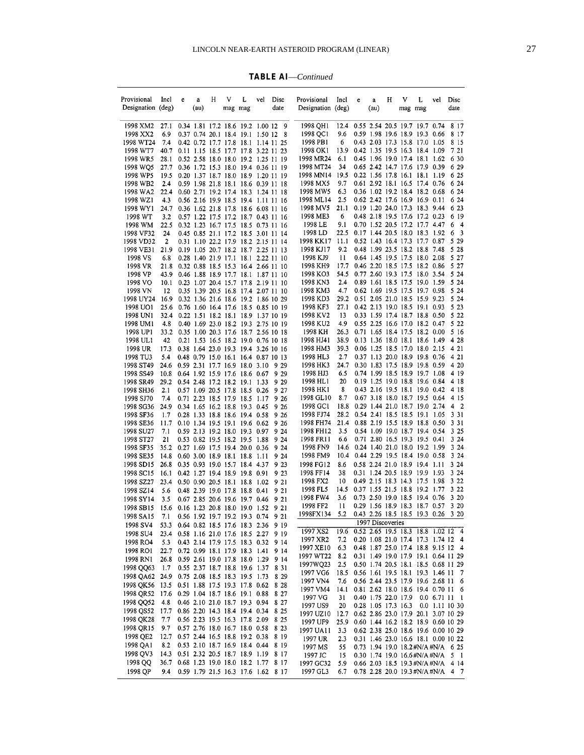| Provisional<br>Designation (deg) | Incl         | e | a<br>(au) | Н | V<br>mag mag | L                                                              | vel | Disc<br>date                                                               | Provisional<br>Designation (deg) | Incl         | e | a<br>(au)                                                            | H | v<br>mag mag | L | vel | Disc<br>date                                                                |
|----------------------------------|--------------|---|-----------|---|--------------|----------------------------------------------------------------|-----|----------------------------------------------------------------------------|----------------------------------|--------------|---|----------------------------------------------------------------------|---|--------------|---|-----|-----------------------------------------------------------------------------|
|                                  |              |   |           |   |              |                                                                |     |                                                                            |                                  | 12.4         |   | 0.55 2.54 20.5 19.7 19.7 0.74                                        |   |              |   |     | 817                                                                         |
| 1998 XM2<br>1998 XX2             | 27.1<br>6.9  |   |           |   |              |                                                                |     | 0.34 1.81 17.2 18.6 19.2 1.00 12 9<br>0.37 0.74 20.1 18.4 19.1 1.50 12 8   | 1998 QH1<br>1998 QC1             | 9.6          |   | 0.59 1.98 19.6 18.9 19.3 0.66                                        |   |              |   |     | 817                                                                         |
| 1998 WT24                        | 7.4          |   |           |   |              |                                                                |     | 0.42 0.72 17.7 17.8 18.1 1.14 11 25                                        | 1998 PB1                         | 6            |   | 0.43 2.03 17.3 15.8 17.0 1.05                                        |   |              |   |     | 815                                                                         |
| 1998 WT7<br>1998 WR5             | 40.7<br>28.1 |   |           |   |              |                                                                |     | 0.11 1.15 18.5 17.7 17.8 3.22 11 23<br>0.52 2.58 18.0 18.0 19.2 1.25 11 19 | 1998 OK1<br>1998 MR24            | 13.9<br>6.1  |   | 0.42 1.35 19.5 16.3 18.4 1.09<br>0.45 1.96 19.0 17.4 18.1 1.62       |   |              |   |     | 7 21<br>6 30                                                                |
| 1998 WQ5                         | 27.7         |   |           |   |              |                                                                |     | 0.36 1.72 15.3 18.0 19.4 0.36 11 19                                        | 1998 MT24                        | 34           |   | 0.65 2.42 14.7 17.6 17.9 0.39                                        |   |              |   |     | 6 29                                                                        |
| 1998 WP5                         | 19.5         |   |           |   |              |                                                                |     | 0.20 1.37 18.7 18.0 18.9 1.20 11 19                                        | 1998 MN14                        | 19.5         |   | 0.22 1.56 17.8 16.1 18.1 1.19                                        |   |              |   |     | 6 25                                                                        |
| 1998 WB2<br>1998 WA2             | 2.4<br>22.4  |   |           |   |              |                                                                |     | 0.59 1.98 21.8 18.1 18.6 0.39 11 18<br>0.60 2.71 19.2 17.4 18.3 1.24 11 18 | 1998 MX5<br>1998 MW5             | 9.7<br>6.3   |   | 0.61 2.92 18.1 16.5 17.4 0.76<br>0.36 1.02 19.2 18.4 18.2 0.68       |   |              |   |     | 6 24<br>6 24                                                                |
| 1998 WZ1                         | 4.3          |   |           |   |              |                                                                |     | 0.56 2.16 19.9 18.5 19.4 1.11 11 16                                        | 1998 ML14                        | 2.5          |   | 0.62 2.42 17.6 16.9 16.9 0.11                                        |   |              |   |     | 6 24                                                                        |
| 1998 WY1                         | 24.7         |   |           |   |              |                                                                |     | 0.36 1.62 21.8 17.8 18.6 6.08 11 16                                        | 1998 MV5                         | 21.1         |   | 0.19 1.20 24.0 17.3 18.3 9.44                                        |   |              |   |     | 6 23                                                                        |
| 1998 WT<br>1998 WM               | 3.2<br>22.5  |   |           |   |              |                                                                |     | 0.57 1.22 17.5 17.2 18.7 0.43 11 16                                        | 1998 ME3<br>1998 LE              | 6<br>9.1     |   | 0.48 2.18 19.5 17.6 17.2 0.23<br>0.70 1.52 20.5 17.2 17.7 4.47       |   |              |   |     | 619<br>6<br>-4                                                              |
| 1998 VF32                        | 24           |   |           |   |              |                                                                |     | 0.32 1.23 16.7 17.5 18.5 0.73 11 16<br>0.45 0.85 21.1 17.2 18.5 3.01 11 14 | 1998 LD                          | 22.5         |   | 0.17 1.44 20.5 18.0 18.3 1.92                                        |   |              |   |     | - 3<br>6                                                                    |
| 1998 VD32                        | 2            |   |           |   |              |                                                                |     | 0.31 1.10 22.2 17.9 18.2 2.15 11 14                                        | 1998 KK17                        | 11.1         |   | 0.52 1.43 16.4 17.3 17.7 0.87                                        |   |              |   |     | 529                                                                         |
| 1998 VE31                        | 21.9         |   |           |   |              |                                                                |     | 0.19 1.05 20.7 18.2 18.7 2.25 11 13                                        | 1998 KJ17<br>1998 KJ9            | 9.2<br>11    |   | 0.48 1.99 23.5 18.2 18.8 7.48                                        |   |              |   |     | 5 28<br>5 27                                                                |
| 1998 VS<br>1998 VR               | 6.8<br>21.8  |   |           |   |              |                                                                |     | 0.28 1.40 21.9 17.1 18.1 2.22 11 10<br>0.32 0.88 18.5 15.3 16.4 2.66 11 10 | 1998 KH9                         | 17.7         |   | 0.64 1.45 19.5 17.5 18.0 2.08<br>0.46 2.20 18.5 17.5 18.2 0.86       |   |              |   |     | 5 27                                                                        |
| 1998 VP                          | 43.9         |   |           |   |              |                                                                |     | 0.46 1.88 18.9 17.7 18.1 1.87 11 10                                        | 1998 KO3                         | 54.5         |   | 0.77 2.60 19.3 17.5 18.0 3.54                                        |   |              |   |     | 5 24                                                                        |
| 1998 VO                          | 10.1         |   |           |   |              |                                                                |     | 0.23 1.07 20.4 15.7 17.8 2.19 11 10                                        | 1998 KN3                         | 2.4          |   | 0.89 1.61 18.5 17.5 19.0 1.59                                        |   |              |   |     | 5 24                                                                        |
| 1998 VN<br>1998 UY24             | 12<br>16.9   |   |           |   |              |                                                                |     | 0.35 1.39 20.5 16.8 17.4 2.07 11 10<br>0.32 1.36 21.6 18.6 19.2 1.86 10 29 | 1998 KM3<br>1998 KD3             | 4.7<br>29.2  |   | 0.62 1.69 19.5 17.5 19.7 0.98<br>0.51 2.05 21.0 18.5 15.9 9.23       |   |              |   |     | 5 24<br>5 24                                                                |
| 1998 UO1                         | 25.6         |   |           |   |              |                                                                |     | 0.76 1.60 16.4 17.6 18.5 0.85 10 19                                        | 1998 KF3                         | 27.1         |   | 0.42 2.13 19.0 18.5 19.1 0.93                                        |   |              |   |     | 5 23                                                                        |
| 1998 UN1                         | 32.4         |   |           |   |              |                                                                |     | 0.22 1.51 18.2 18.1 18.9 1.37 10 19                                        | 1998 KV2                         | 13           |   | 0.33 1.59 17.4 18.7 18.8 0.50                                        |   |              |   |     | 5 22                                                                        |
| 1998 UM1                         | 4.8          |   |           |   |              |                                                                |     | 0.40 1.69 23.0 18.2 19.3 2.75 10 19                                        | 1998 KU2                         | 4.9          |   | 0.55 2.25 16.6 17.0 18.2 0.47                                        |   |              |   |     | 5 22                                                                        |
| 1998 UP1<br>1998 ULI             | 33.2<br>42   |   |           |   |              |                                                                |     | 0.35 1.00 20.3 17.6 18.7 2.56 10 18<br>0.21 1.53 16.5 18.2 19.0 0.76 10 18 | 1998 KH<br>1998 HJ41             | 26.3<br>38.9 |   | 0.71 1.65 18.4 17.5 18.2 0.00<br>0.13 1.36 18.0 18.1 18.6 1.49       |   |              |   |     | 5 16<br>4 2 8                                                               |
| 1998 UR                          | 17.3         |   |           |   |              |                                                                |     | 0.38 1.64 23.0 19.3 19.4 3.26 10 16                                        | 1998 HM3                         | 39.3         |   | 0.06 1.25 18.5 17.0 18.0 2.15                                        |   |              |   |     | 4 2 1                                                                       |
| 1998 TU3                         | 5.4          |   |           |   |              |                                                                |     | 0.48 0.79 15.0 16.1 16.4 0.87 10 13                                        | 1998 HL3                         | 2.7          |   | 0.37 1.13 20.0 18.9 19.8 0.76                                        |   |              |   |     | 4 21                                                                        |
| 1998 ST49                        | 24.6         |   |           |   |              |                                                                |     | 0.59 2.31 17.7 16.9 18.0 3.10 9 29                                         | 1998 HK3                         | 24.7         |   | 0.30 1.83 17.5 18.9 19.8 0.59                                        |   |              |   |     | 4 20                                                                        |
| 1998 SS49<br>1998 SR49           | 10.8<br>29.2 |   |           |   |              | 0.64 1.92 15.9 17.6 18.6 0.67<br>0.54 2.48 17.2 18.2 19.1 1.33 |     | 9 29<br>9 29                                                               | 1998 HJ3<br>1998 HL1             | 6.5<br>20    |   | 0.74 1.99 18.5 18.9 19.7 1.08<br>0.19 1.25 19.0 18.8 19.6 0.84       |   |              |   |     | 4 1 9<br>4 18                                                               |
| 1998 SH36                        | 2.1          |   |           |   |              | 0.57 1.09 20.5 17.8 18.5 0.26                                  |     | 9 27                                                                       | 1998 HK1                         | 8            |   | 0.43 2.16 19.5 18.1 19.0 0.42                                        |   |              |   |     | 4 18                                                                        |
| 1998 SJ70                        | 7.4          |   |           |   |              | 0.71 2.23 18.5 17.9 18.5 1.17                                  |     | 9 26                                                                       | 1998 GL10                        | 8.7          |   | 0.67 3.18 18.0 18.7 19.5 0.64                                        |   |              |   |     | 4 15                                                                        |
| 1998 SG36                        | 24.9         |   |           |   |              | 0.34 1.65 16.2 18.8 19.3 0.45                                  |     | 9 26<br>9 26                                                               | 1998 GC1<br>1998 FJ74            | 18.8<br>28.2 |   | 0.29 1.44 21.0 18.7 19.0 2.74<br>0.54 2.41 18.5 18.5 19.1 1.05       |   |              |   |     | 4 <sup>2</sup><br>3 3 1                                                     |
| 1998 SF36<br>1998 SE36           | 1.7<br>11.7  |   |           |   |              | 0.28 1.33 18.8 18.6 19.4 0.58<br>0.10 1.34 19.5 19.1 19.6 0.62 |     | 9 26                                                                       | 1998 FH74                        | 21.4         |   | 0.88 2.19 15.5 18.9 18.8 0.50                                        |   |              |   |     | 3 3 1                                                                       |
| 1998 SU27                        | 7.1          |   |           |   |              | 0.59 2.13 19.2 18.0 19.3 0.97                                  |     | 9 24                                                                       | 1998 FH12                        | 3.5          |   | 0.54 1.09 19.0 18.7 19.4 0.54                                        |   |              |   |     | 3 25                                                                        |
| 1998 ST27                        | 21           |   |           |   |              | 0.53 0.82 19.5 18.2 19.5 1.88                                  |     | 9 24                                                                       | 1998 FR11                        | 6.6          |   | 0.71 2.80 16.5 19.3 19.5 0.41                                        |   |              |   |     | 324                                                                         |
| 1998 SF35<br>1998 SE35           | 35.2<br>14.8 |   |           |   |              | 0.27 1.69 17.5 19.4 20.0 0.36<br>0.60 3.00 18.9 18.1 18.8 1.11 |     | 9 24<br>924                                                                | 1998 FN9<br>1998 FM9             | 14.6<br>10.4 |   | 0.24 1.40 21.0 18.0 19.2 1.99<br>0.44 2.29 19.5 18.4 19.0 0.58       |   |              |   |     | 3 24<br>324                                                                 |
| 1998 SD15                        | 26.8         |   |           |   |              | 0.35 0.93 19.0 15.7 18.4 4.37                                  |     | 9 23                                                                       | 1998 FG12                        | 8.6          |   | 0.58 2.24 21.0 18.9 19.4 1.11                                        |   |              |   |     | 324                                                                         |
| 1998 SC15                        | 16.1         |   |           |   |              | 0.42 1.27 19.4 18.9 19.8 0.91                                  |     | 9 23                                                                       | 1998 FF14                        | 38           |   | 0.31 1.24 20.5 18.9 19.9 1.93                                        |   |              |   |     | 3 2 4                                                                       |
| 1998 SZ27                        | 23.4         |   |           |   |              | 0.50 0.90 20.5 18.1 18.8 1.02                                  |     | 9 2 1                                                                      | 1998 FX2                         | 10           |   | 0.49 2.15 18.3 14.3 17.5 1.98                                        |   |              |   |     | 3 2 2                                                                       |
| 1998 SZ14                        | 5.6<br>3.5   |   |           |   |              | 0.48 2.39 19.0 17.8 18.8 0.41                                  |     | 9 21<br>9 21                                                               | 1998 FL5<br>1998 FW4             | 14.5<br>3.6  |   | 0.37 1.55 21.5 18.8 19.2 1.77<br>0.73 2.50 19.0 18.5 19.4 0.76       |   |              |   |     | 3 2 2<br>3 20                                                               |
| 1998 SY14<br>1998 SB15           | 15.6         |   |           |   |              | 0.67 2.85 20.6 19.6 19.7 0.46<br>0.16 1.23 20.8 18.0 19.0 1.52 |     | 9 2 1                                                                      | 1998 FF2                         | 11           |   | 0.29 1.56 18.9 18.3 18.7 0.57                                        |   |              |   |     | 3 20                                                                        |
| 1998 SA15                        | 7.1          |   |           |   |              |                                                                |     | 0.56 1.92 19.7 19.2 19.3 0.74 9 21                                         | 1998FX134                        | 5.2          |   | 0.43 2.26 18.5 18.5 19.3 0.26                                        |   |              |   |     | 3 20                                                                        |
| 1998 SV4                         |              |   |           |   |              |                                                                |     | 53.3 0.64 0.82 18.5 17.6 18.3 2.36 9 19                                    |                                  |              |   | 1997 Discoveries                                                     |   |              |   |     | 0.52 2.65 19.5 18.3 18.8 1.02 12 4                                          |
| 1998 SU4                         | 23.4         |   |           |   |              |                                                                |     | 0.58 1.16 21.0 17.6 18.5 2.27 9 19                                         | 1997 XS2<br>1997 XR2             | 19.6<br>7.2  |   |                                                                      |   |              |   |     | 0.20 1.08 21.0 17.4 17.3 1.74 12 4                                          |
| 1998 RO4<br>1998 RO1             | 5.3<br>22.7  |   |           |   |              | 0.72 0.99 18.1 17.9 18.3 1.41                                  |     | 0.43 2.14 17.9 17.5 18.3 0.32 9 14<br>914                                  | 1997 XE10                        | 6.3          |   |                                                                      |   |              |   |     | 0.48 1.87 25.0 17.4 18.8 9.15 12 4                                          |
| 1998 RN1                         | 26.8         |   |           |   |              |                                                                |     | 0.59 2.61 19.0 17.8 18.0 1.29 9 14                                         | 1997 WT22                        | 8.2          |   |                                                                      |   |              |   |     | 0.31 1.49 19.0 17.9 19.1 0.64 11 29                                         |
| 1998 QQ63                        | 1.7          |   |           |   |              |                                                                |     | 0.55 2.37 18.7 18.8 19.6 1.37 8 31                                         | 1997WQ23                         | 2.5<br>18.5  |   |                                                                      |   |              |   |     | 0.50 1.74 20.5 18.1 18.5 0.68 11 29<br>-7                                   |
| 1998 QA62                        |              |   |           |   |              |                                                                |     | 24.9 0.75 2.08 18.5 18.3 19.5 1.73 8 29                                    | 1997 VG6<br>1997 VN4             | 7.6          |   | 0.56 1.61 19.5 18 1 19.3 1.46 11<br>0.56 2.44 23.5 17.9 19.6 2.68 11 |   |              |   |     | 6                                                                           |
| 1998 QK56                        | 13.5         |   |           |   |              | 0.51 1.88 17.5 19.3 17.8 0.62                                  |     | 828                                                                        | 1997 VM4                         | 14.1         |   | 0.81 2.62 18.0 18.6 19.4 0.70 11                                     |   |              |   |     | - 6                                                                         |
| 1998 QR52<br>1998 QQ52           | 17.6<br>4.8  |   |           |   |              |                                                                |     | 0.29 1.04 18.7 18.6 19.1 0.88 8 27<br>0.46 2.10 21.0 18.7 19.3 0.94 8 27   | 1997 VG                          | 31           |   | 0.40 1.75 22.0 17.9                                                  |   |              |   |     | $0.0 \thinspace 6.71 \thinspace 11 \thinspace 1$                            |
| 1998 QS52                        | 17.7         |   |           |   |              |                                                                |     | 0.86 2.20 14.3 18.4 19.4 0.34 8 25                                         | 1997 US9<br>1997 UZ10            | 20<br>12.7   |   | 0.28 1.05 17.3 16.3                                                  |   |              |   |     | $0.0$ 1.11 10 30<br>0.62 2.86 23.0 17.9 20.1 3.07 10 29                     |
| 1998 QK28                        | 7.7          |   |           |   |              |                                                                |     | 0.56 2.23 19.5 16.3 17.8 2.09 8 25                                         | 1997 UF9                         | 25.9         |   |                                                                      |   |              |   |     | 0.60 1.44 16.2 18.2 18.9 0.60 10 29                                         |
| 1998 QR15                        | 9.7          |   |           |   |              |                                                                |     | 0.57 2.76 18.0 16.7 18.0 0.58 8 23                                         | 1997 UA11                        | 3.3          |   |                                                                      |   |              |   |     | 0.62 2.38 25.0 18.6 19.6 0.00 10 29                                         |
| 1998 QE2<br>1998 QA1             | 12.7<br>8.2  |   |           |   |              | 0.57 2.44 16.5 18.8 19.2 0.38                                  |     | 819<br>0.53 2.10 18.7 16.9 18.4 0.44 8 19                                  | 1997 UR                          | 2.3          |   |                                                                      |   |              |   |     | 0.31 1.46 23.0 16.6 18.1 0.00 10 22                                         |
| 1998 QV3                         | 14.3         |   |           |   |              |                                                                |     | 0.51 2.32 20.5 18.7 18.9 1.19 8 17                                         | 1997 MS<br>1997 JC               | 55<br>15     |   |                                                                      |   |              |   |     | $0.73$ 1.94 19.0 18.2 #N/A #N/A 6 25<br>$0.30$ 1.74 19.0 16.6 #N/A #N/A 5 1 |
| 1998 QQ                          | 36.7         |   |           |   |              |                                                                |     | 0.68 1.23 19.0 18.0 18.2 1.77 8 17                                         | 1997 GC32                        | 5.9          |   |                                                                      |   |              |   |     | $0.66$ 2.03 18.5 19.3 #N/A #N/A 4 14                                        |
| 1998 QP                          | 9.4          |   |           |   |              |                                                                |     | 0.59 1.79 21.5 16.3 17.6 1.62 8 17                                         | 1997 GL3                         | 6.7          |   |                                                                      |   |              |   |     | $0.78$ 2.28 20.0 19.3 #N/A #N/A 4 7                                         |